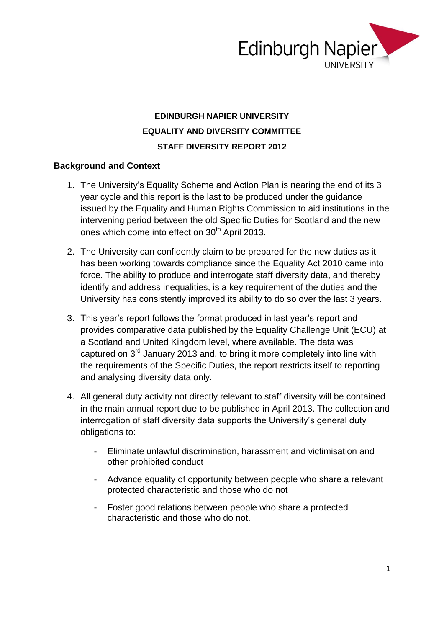

## **EDINBURGH NAPIER UNIVERSITY EQUALITY AND DIVERSITY COMMITTEE STAFF DIVERSITY REPORT 2012**

### **Background and Context**

- 1. The University's Equality Scheme and Action Plan is nearing the end of its 3 year cycle and this report is the last to be produced under the guidance issued by the Equality and Human Rights Commission to aid institutions in the intervening period between the old Specific Duties for Scotland and the new ones which come into effect on 30<sup>th</sup> April 2013.
- 2. The University can confidently claim to be prepared for the new duties as it has been working towards compliance since the Equality Act 2010 came into force. The ability to produce and interrogate staff diversity data, and thereby identify and address inequalities, is a key requirement of the duties and the University has consistently improved its ability to do so over the last 3 years.
- 3. This year's report follows the format produced in last year's report and provides comparative data published by the Equality Challenge Unit (ECU) at a Scotland and United Kingdom level, where available. The data was captured on 3rd January 2013 and, to bring it more completely into line with the requirements of the Specific Duties, the report restricts itself to reporting and analysing diversity data only.
- 4. All general duty activity not directly relevant to staff diversity will be contained in the main annual report due to be published in April 2013. The collection and interrogation of staff diversity data supports the University's general duty obligations to:
	- Eliminate unlawful discrimination, harassment and victimisation and other prohibited conduct
	- Advance equality of opportunity between people who share a relevant protected characteristic and those who do not
	- Foster good relations between people who share a protected characteristic and those who do not.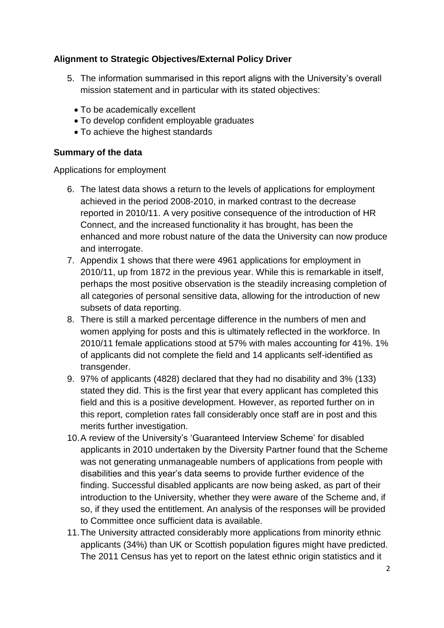### **Alignment to Strategic Objectives/External Policy Driver**

- 5. The information summarised in this report aligns with the University's overall mission statement and in particular with its stated objectives:
	- To be academically excellent
	- To develop confident employable graduates
	- To achieve the highest standards

### **Summary of the data**

Applications for employment

- 6. The latest data shows a return to the levels of applications for employment achieved in the period 2008-2010, in marked contrast to the decrease reported in 2010/11. A very positive consequence of the introduction of HR Connect, and the increased functionality it has brought, has been the enhanced and more robust nature of the data the University can now produce and interrogate.
- 7. Appendix 1 shows that there were 4961 applications for employment in 2010/11, up from 1872 in the previous year. While this is remarkable in itself, perhaps the most positive observation is the steadily increasing completion of all categories of personal sensitive data, allowing for the introduction of new subsets of data reporting.
- 8. There is still a marked percentage difference in the numbers of men and women applying for posts and this is ultimately reflected in the workforce. In 2010/11 female applications stood at 57% with males accounting for 41%. 1% of applicants did not complete the field and 14 applicants self-identified as transgender.
- 9. 97% of applicants (4828) declared that they had no disability and 3% (133) stated they did. This is the first year that every applicant has completed this field and this is a positive development. However, as reported further on in this report, completion rates fall considerably once staff are in post and this merits further investigation.
- 10.A review of the University's 'Guaranteed Interview Scheme' for disabled applicants in 2010 undertaken by the Diversity Partner found that the Scheme was not generating unmanageable numbers of applications from people with disabilities and this year's data seems to provide further evidence of the finding. Successful disabled applicants are now being asked, as part of their introduction to the University, whether they were aware of the Scheme and, if so, if they used the entitlement. An analysis of the responses will be provided to Committee once sufficient data is available.
- 11.The University attracted considerably more applications from minority ethnic applicants (34%) than UK or Scottish population figures might have predicted. The 2011 Census has yet to report on the latest ethnic origin statistics and it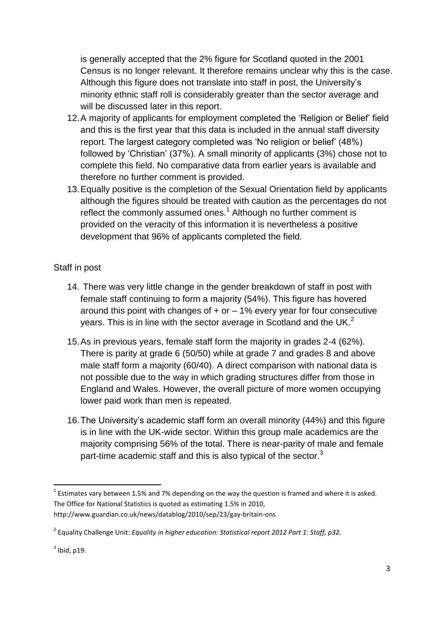is generally accepted that the 2% figure for Scotland quoted in the 2001 Census is no longer relevant. It therefore remains unclear why this is the case. Although this figure does not translate into staff in post, the University's minority ethnic staff roll is considerably greater than the sector average and will be discussed later in this report.

- 12.A majority of applicants for employment completed the 'Religion or Belief' field and this is the first year that this data is included in the annual staff diversity report. The largest category completed was 'No religion or belief' (48%) followed by 'Christian' (37%). A small minority of applicants (3%) chose not to complete this field. No comparative data from earlier years is available and therefore no further comment is provided.
- 13.Equally positive is the completion of the Sexual Orientation field by applicants although the figures should be treated with caution as the percentages do not reflect the commonly assumed ones.<sup>1</sup> Although no further comment is provided on the veracity of this information it is nevertheless a positive development that 96% of applicants completed the field.

### Staff in post

- 14. There was very little change in the gender breakdown of staff in post with female staff continuing to form a majority (54%). This figure has hovered around this point with changes of  $+$  or  $-$  1% every year for four consecutive years. This is in line with the sector average in Scotland and the UK.<sup>2</sup>
- 15.As in previous years, female staff form the majority in grades 2-4 (62%). There is parity at grade 6 (50/50) while at grade 7 and grades 8 and above male staff form a majority (60/40). A direct comparison with national data is not possible due to the way in which grading structures differ from those in England and Wales. However, the overall picture of more women occupying lower paid work than men is repeated.
- 16.The University's academic staff form an overall minority (44%) and this figure is in line with the UK-wide sector. Within this group male academics are the majority comprising 56% of the total. There is near-parity of male and female part-time academic staff and this is also typical of the sector.<sup>3</sup>

**.** 

 $^{1}$  Estimates vary between 1.5% and 7% depending on the way the question is framed and where it is asked. The Office for National Statistics is quoted as estimating 1.5% in 2010, http://www.guardian.co.uk/news/datablog/2010/sep/23/gay-britain-ons

<sup>2</sup> Equality Challenge Unit: *Equality in higher education: Statistical report 2012 Part 1: Staff, p32.*

 $3$  Ibid, p19.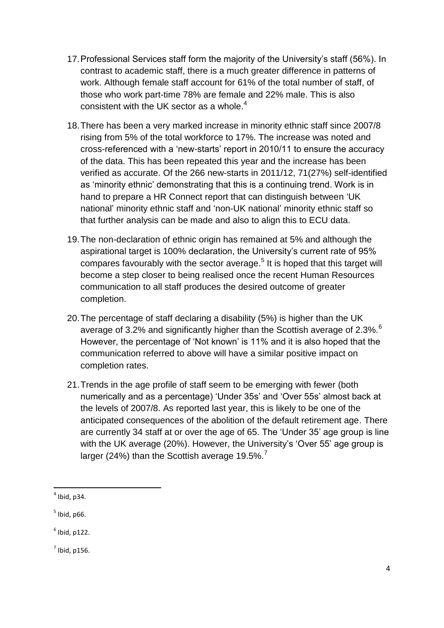- 17.Professional Services staff form the majority of the University's staff (56%). In contrast to academic staff, there is a much greater difference in patterns of work. Although female staff account for 61% of the total number of staff, of those who work part-time 78% are female and 22% male. This is also consistent with the UK sector as a whole. $4$
- 18.There has been a very marked increase in minority ethnic staff since 2007/8 rising from 5% of the total workforce to 17%. The increase was noted and cross-referenced with a 'new-starts' report in 2010/11 to ensure the accuracy of the data. This has been repeated this year and the increase has been verified as accurate. Of the 266 new-starts in 2011/12, 71(27%) self-identified as 'minority ethnic' demonstrating that this is a continuing trend. Work is in hand to prepare a HR Connect report that can distinguish between 'UK national' minority ethnic staff and 'non-UK national' minority ethnic staff so that further analysis can be made and also to align this to ECU data.
- 19.The non-declaration of ethnic origin has remained at 5% and although the aspirational target is 100% declaration, the University's current rate of 95% compares favourably with the sector average.<sup>5</sup> It is hoped that this target will become a step closer to being realised once the recent Human Resources communication to all staff produces the desired outcome of greater completion.
- 20.The percentage of staff declaring a disability (5%) is higher than the UK average of 3.2% and significantly higher than the Scottish average of 2.3%.<sup>6</sup> However, the percentage of 'Not known' is 11% and it is also hoped that the communication referred to above will have a similar positive impact on completion rates.
- 21.Trends in the age profile of staff seem to be emerging with fewer (both numerically and as a percentage) 'Under 35s' and 'Over 55s' almost back at the levels of 2007/8. As reported last year, this is likely to be one of the anticipated consequences of the abolition of the default retirement age. There are currently 34 staff at or over the age of 65. The 'Under 35' age group is line with the UK average (20%). However, the University's 'Over 55' age group is larger (24%) than the Scottish average 19.5%.<sup>7</sup>

 $\overline{a}$  $<sup>4</sup>$  Ibid, p34.</sup>

 $<sup>5</sup>$  Ibid, p66.</sup>

 $<sup>6</sup>$  Ibid, p122.</sup>

 $<sup>7</sup>$  Ibid, p156.</sup>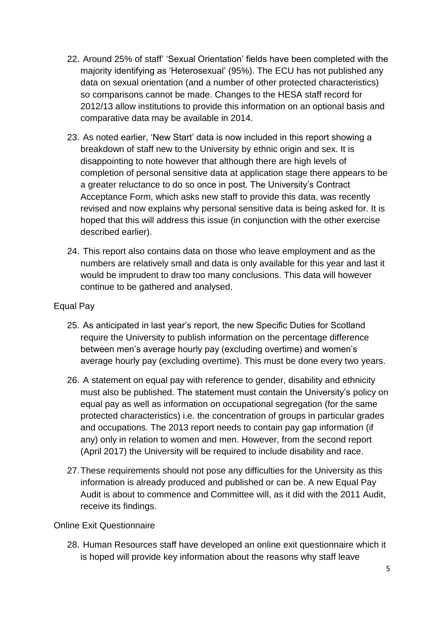- 22. Around 25% of staff' 'Sexual Orientation' fields have been completed with the majority identifying as 'Heterosexual' (95%). The ECU has not published any data on sexual orientation (and a number of other protected characteristics) so comparisons cannot be made. Changes to the HESA staff record for 2012/13 allow institutions to provide this information on an optional basis and comparative data may be available in 2014.
- 23. As noted earlier, 'New Start' data is now included in this report showing a breakdown of staff new to the University by ethnic origin and sex. It is disappointing to note however that although there are high levels of completion of personal sensitive data at application stage there appears to be a greater reluctance to do so once in post. The University's Contract Acceptance Form, which asks new staff to provide this data, was recently revised and now explains why personal sensitive data is being asked for. It is hoped that this will address this issue (in conjunction with the other exercise described earlier).
- 24. This report also contains data on those who leave employment and as the numbers are relatively small and data is only available for this year and last it would be imprudent to draw too many conclusions. This data will however continue to be gathered and analysed.

### Equal Pay

- 25. As anticipated in last year's report, the new Specific Duties for Scotland require the University to publish information on the percentage difference between men's average hourly pay (excluding overtime) and women's average hourly pay (excluding overtime). This must be done every two years.
- 26. A statement on equal pay with reference to gender, disability and ethnicity must also be published. The statement must contain the University's policy on equal pay as well as information on occupational segregation (for the same protected characteristics) i.e. the concentration of groups in particular grades and occupations. The 2013 report needs to contain pay gap information (if any) only in relation to women and men. However, from the second report (April 2017) the University will be required to include disability and race.
- 27.These requirements should not pose any difficulties for the University as this information is already produced and published or can be. A new Equal Pay Audit is about to commence and Committee will, as it did with the 2011 Audit, receive its findings.

### Online Exit Questionnaire

28. Human Resources staff have developed an online exit questionnaire which it is hoped will provide key information about the reasons why staff leave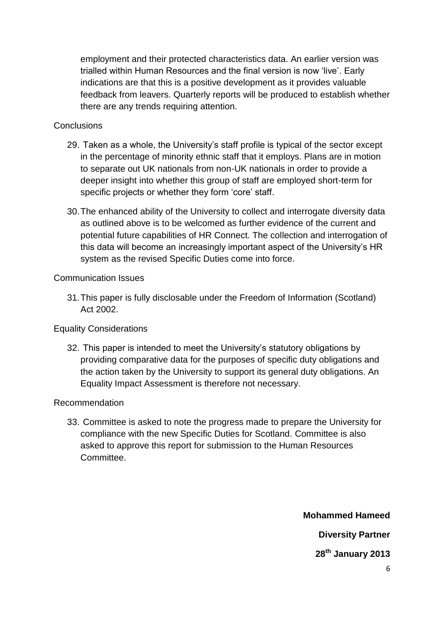employment and their protected characteristics data. An earlier version was trialled within Human Resources and the final version is now 'live'. Early indications are that this is a positive development as it provides valuable feedback from leavers. Quarterly reports will be produced to establish whether there are any trends requiring attention.

### **Conclusions**

- 29. Taken as a whole, the University's staff profile is typical of the sector except in the percentage of minority ethnic staff that it employs. Plans are in motion to separate out UK nationals from non-UK nationals in order to provide a deeper insight into whether this group of staff are employed short-term for specific projects or whether they form 'core' staff.
- 30.The enhanced ability of the University to collect and interrogate diversity data as outlined above is to be welcomed as further evidence of the current and potential future capabilities of HR Connect. The collection and interrogation of this data will become an increasingly important aspect of the University's HR system as the revised Specific Duties come into force.

### Communication Issues

31.This paper is fully disclosable under the Freedom of Information (Scotland) Act 2002.

### Equality Considerations

32. This paper is intended to meet the University's statutory obligations by providing comparative data for the purposes of specific duty obligations and the action taken by the University to support its general duty obligations. An Equality Impact Assessment is therefore not necessary.

### Recommendation

33. Committee is asked to note the progress made to prepare the University for compliance with the new Specific Duties for Scotland. Committee is also asked to approve this report for submission to the Human Resources Committee.

> **Mohammed Hameed Diversity Partner 28th January 2013**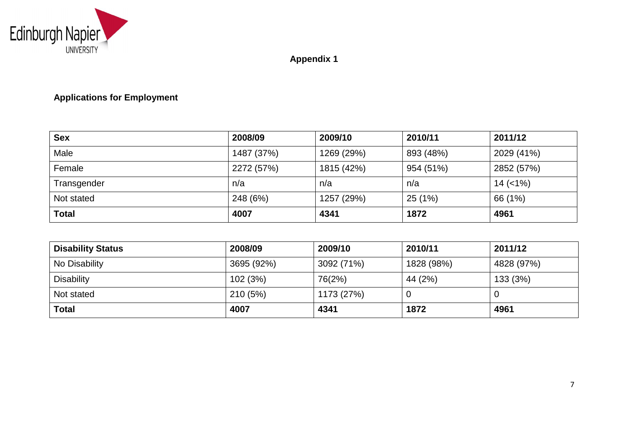

**Appendix 1**

## **Applications for Employment**

| <b>Sex</b>   | 2008/09    | 2009/10    | 2010/11   | 2011/12       |
|--------------|------------|------------|-----------|---------------|
| Male         | 1487 (37%) | 1269 (29%) | 893 (48%) | 2029 (41%)    |
| Female       | 2272 (57%) | 1815 (42%) | 954 (51%) | 2852 (57%)    |
| Transgender  | n/a        | n/a        | n/a       | $14 \ (21\%)$ |
| Not stated   | 248 (6%)   | 1257 (29%) | 25(1%)    | 66 (1%)       |
| <b>Total</b> | 4007       | 4341       | 1872      | 4961          |

| <b>Disability Status</b> | 2008/09    | 2009/10    | 2010/11    | 2011/12    |
|--------------------------|------------|------------|------------|------------|
| No Disability            | 3695 (92%) | 3092 (71%) | 1828 (98%) | 4828 (97%) |
| <b>Disability</b>        | 102 (3%)   | 76(2%)     | 44 (2%)    | 133 (3%)   |
| Not stated               | 210(5%)    | 1173 (27%) |            |            |
| <b>Total</b>             | 4007       | 4341       | 1872       | 4961       |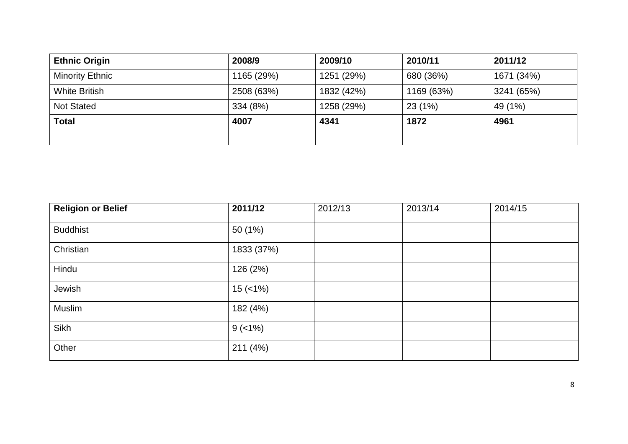| <b>Ethnic Origin</b>   | 2008/9     | 2009/10    | 2010/11    | 2011/12    |
|------------------------|------------|------------|------------|------------|
| <b>Minority Ethnic</b> | 1165 (29%) | 1251 (29%) | 680 (36%)  | 1671 (34%) |
| <b>White British</b>   | 2508 (63%) | 1832 (42%) | 1169 (63%) | 3241 (65%) |
| <b>Not Stated</b>      | 334 (8%)   | 1258 (29%) | 23 (1%)    | 49 (1%)    |
| <b>Total</b>           | 4007       | 4341       | 1872       | 4961       |
|                        |            |            |            |            |

| <b>Religion or Belief</b> | 2011/12    | 2012/13 | 2013/14 | 2014/15 |
|---------------------------|------------|---------|---------|---------|
| <b>Buddhist</b>           | 50 (1%)    |         |         |         |
| Christian                 | 1833 (37%) |         |         |         |
| Hindu                     | 126 (2%)   |         |         |         |
| Jewish                    | $15$ (<1%) |         |         |         |
| Muslim                    | 182 (4%)   |         |         |         |
| Sikh                      | $9(-1%)$   |         |         |         |
| Other                     | 211(4%)    |         |         |         |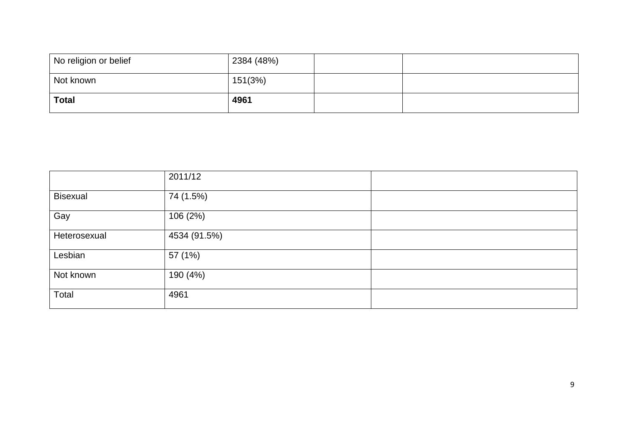| No religion or belief | 2384 (48%) |  |
|-----------------------|------------|--|
| Not known             | 151(3%)    |  |
| <b>Total</b>          | 4961       |  |

|                 | 2011/12      |  |
|-----------------|--------------|--|
| <b>Bisexual</b> | 74 (1.5%)    |  |
| Gay             | 106 (2%)     |  |
| Heterosexual    | 4534 (91.5%) |  |
| Lesbian         | 57 (1%)      |  |
| Not known       | 190 (4%)     |  |
| Total           | 4961         |  |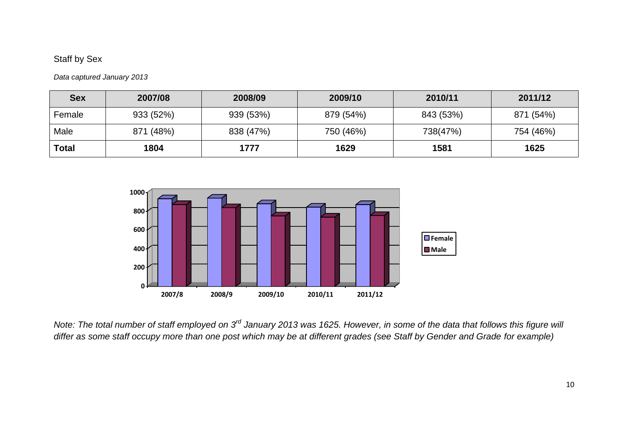## Staff by Sex

*Data captured January 2013*

| <b>Sex</b>   | 2007/08   | 2008/09   | 2009/10   | 2010/11   | 2011/12   |
|--------------|-----------|-----------|-----------|-----------|-----------|
| Female       | 933 (52%) | 939 (53%) | 879 (54%) | 843 (53%) | 871 (54%) |
| Male         | 871 (48%) | 838 (47%) | 750 (46%) | 738(47%)  | 754 (46%) |
| <b>Total</b> | 1804      | 1777      | 1629      | 1581      | 1625      |



*Note: The total number of staff employed on 3rd January 2013 was 1625. However, in some of the data that follows this figure will differ as some staff occupy more than one post which may be at different grades (see Staff by Gender and Grade for example)*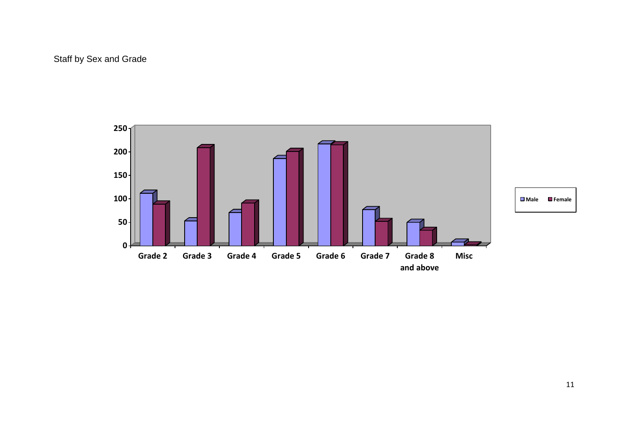## Staff by Sex and Grade

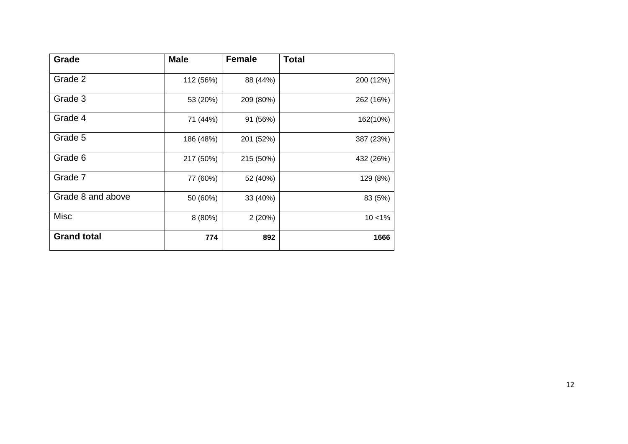| Grade              | <b>Male</b> | <b>Female</b> | <b>Total</b> |
|--------------------|-------------|---------------|--------------|
| Grade 2            | 112 (56%)   | 88 (44%)      | 200 (12%)    |
| Grade 3            | 53 (20%)    | 209 (80%)     | 262 (16%)    |
| Grade 4            | 71 (44%)    | 91 (56%)      | 162(10%)     |
| Grade 5            | 186 (48%)   | 201 (52%)     | 387 (23%)    |
| Grade 6            | 217 (50%)   | 215 (50%)     | 432 (26%)    |
| Grade 7            | 77 (60%)    | 52 (40%)      | 129 (8%)     |
| Grade 8 and above  | 50 (60%)    | 33 (40%)      | 83 (5%)      |
| <b>Misc</b>        | 8(80%)      | 2(20%)        | $10 < 1\%$   |
| <b>Grand total</b> | 774         | 892           | 1666         |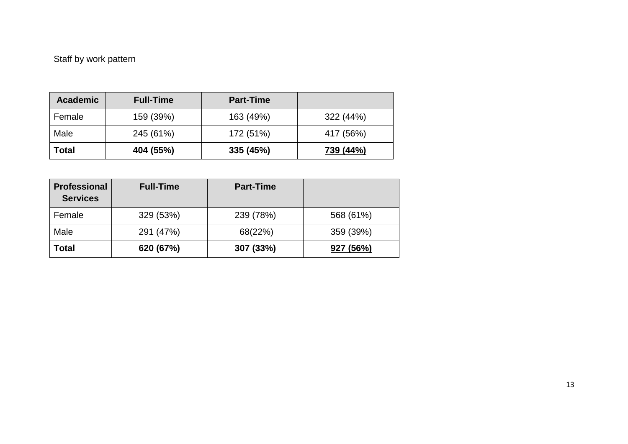# Staff by work pattern

| <b>Academic</b> | <b>Full-Time</b> | <b>Part-Time</b> |           |
|-----------------|------------------|------------------|-----------|
| Female          | 159 (39%)        | 163 (49%)        | 322 (44%) |
| Male            | 245 (61%)        | 172 (51%)        | 417 (56%) |
| Total           | 404 (55%)        | 335 (45%)        | 739 (44%) |

| <b>Professional</b><br><b>Services</b> | <b>Full-Time</b> | <b>Part-Time</b> |           |
|----------------------------------------|------------------|------------------|-----------|
| Female                                 | 329 (53%)        | 239 (78%)        | 568 (61%) |
| Male                                   | 291 (47%)        | 68(22%)          | 359 (39%) |
| Total                                  | 620 (67%)        | 307 (33%)        | 927 (56%) |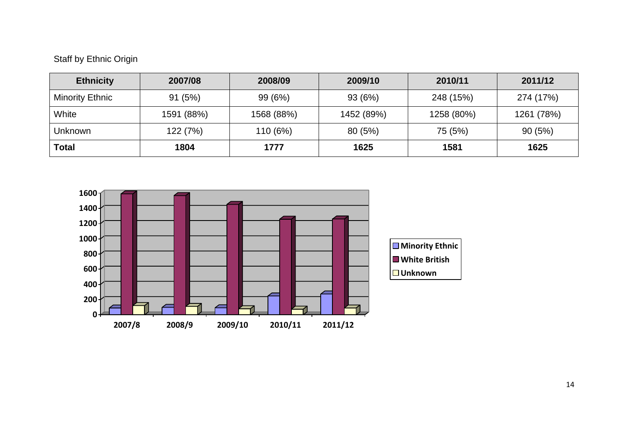## Staff by Ethnic Origin

| <b>Ethnicity</b>       | 2007/08    | 2008/09    | 2009/10    | 2010/11    | 2011/12    |
|------------------------|------------|------------|------------|------------|------------|
| <b>Minority Ethnic</b> | 91(5%)     | 99 (6%)    | 93 (6%)    | 248 (15%)  | 274 (17%)  |
| White                  | 1591 (88%) | 1568 (88%) | 1452 (89%) | 1258 (80%) | 1261 (78%) |
| Unknown                | 122 (7%)   | 110 (6%)   | 80(5%)     | 75 (5%)    | 90(5%)     |
| <b>Total</b>           | 1804       | 1777       | 1625       | 1581       | 1625       |

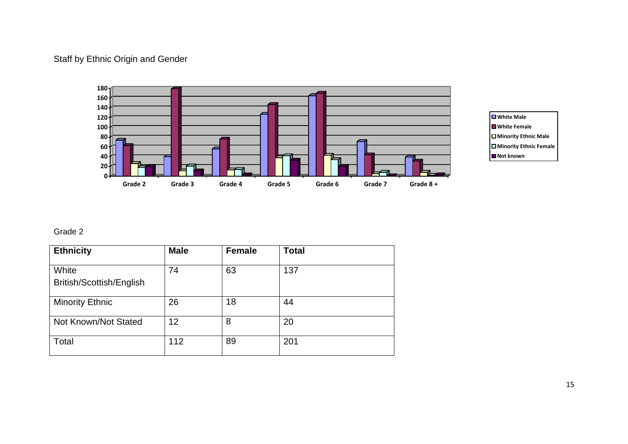## Staff by Ethnic Origin and Gender





### Grade 2

| <b>Ethnicity</b>                  | <b>Male</b> | <b>Female</b> | <b>Total</b> |
|-----------------------------------|-------------|---------------|--------------|
| White<br>British/Scottish/English | 74          | 63            | 137          |
| <b>Minority Ethnic</b>            | 26          | 18            | 44           |
| Not Known/Not Stated              | 12          | 8             | 20           |
| Total                             | 112         | 89            | 201          |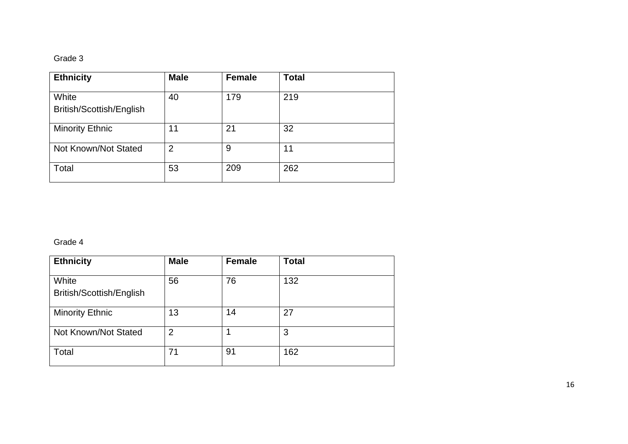#### Grade 3

| <b>Ethnicity</b>                  | <b>Male</b>    | <b>Female</b> | <b>Total</b> |
|-----------------------------------|----------------|---------------|--------------|
| White<br>British/Scottish/English | 40             | 179           | 219          |
| <b>Minority Ethnic</b>            | 11             | 21            | 32           |
| Not Known/Not Stated              | $\overline{2}$ | 9             | 11           |
| Total                             | 53             | 209           | 262          |

#### Grade 4

| <b>Ethnicity</b>                  | <b>Male</b>    | <b>Female</b> | <b>Total</b> |
|-----------------------------------|----------------|---------------|--------------|
| White<br>British/Scottish/English | 56             | 76            | 132          |
| <b>Minority Ethnic</b>            | 13             | 14            | 27           |
| Not Known/Not Stated              | $\overline{2}$ |               | 3            |
| Total                             | 71             | 91            | 162          |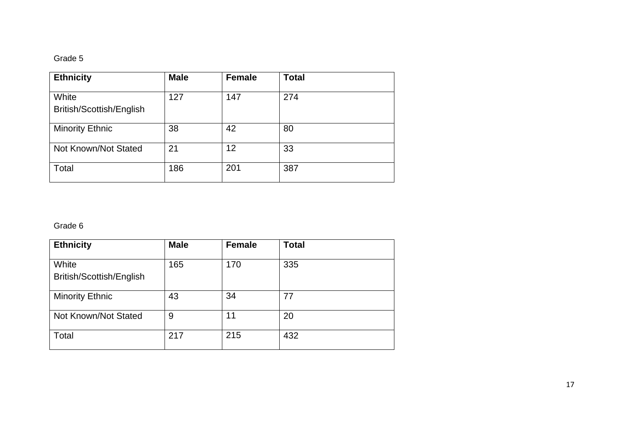#### Grade 5

| <b>Ethnicity</b>                  | <b>Male</b> | <b>Female</b> | <b>Total</b> |
|-----------------------------------|-------------|---------------|--------------|
| White<br>British/Scottish/English | 127         | 147           | 274          |
| <b>Minority Ethnic</b>            | 38          | 42            | 80           |
| Not Known/Not Stated              | 21          | 12            | 33           |
| Total                             | 186         | 201           | 387          |

#### Grade 6

| <b>Ethnicity</b>                  | <b>Male</b> | <b>Female</b> | <b>Total</b> |
|-----------------------------------|-------------|---------------|--------------|
| White<br>British/Scottish/English | 165         | 170           | 335          |
| <b>Minority Ethnic</b>            | 43          | 34            | 77           |
| Not Known/Not Stated              | 9           | 11            | 20           |
| Total                             | 217         | 215           | 432          |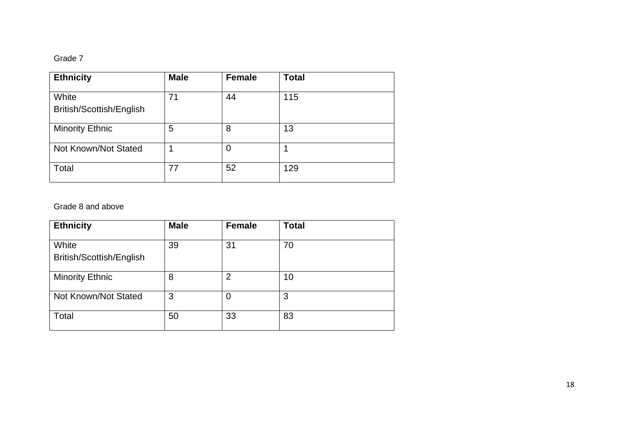#### Grade 7

| <b>Ethnicity</b>                  | <b>Male</b> | <b>Female</b> | <b>Total</b> |
|-----------------------------------|-------------|---------------|--------------|
| White<br>British/Scottish/English | 71          | 44            | 115          |
| <b>Minority Ethnic</b>            | 5           | 8             | 13           |
| Not Known/Not Stated              |             | 0             |              |
| Total                             | 77          | 52            | 129          |

### Grade 8 and above

| <b>Ethnicity</b>                  | <b>Male</b> | <b>Female</b>  | <b>Total</b> |
|-----------------------------------|-------------|----------------|--------------|
| White<br>British/Scottish/English | 39          | 31             | 70           |
| <b>Minority Ethnic</b>            | 8           | $\overline{2}$ | 10           |
| Not Known/Not Stated              | 3           | 0              | 3            |
| Total                             | 50          | 33             | 83           |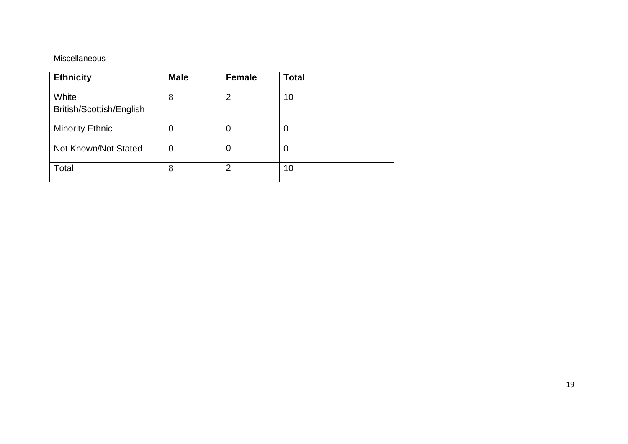### Miscellaneous

| <b>Ethnicity</b>                  | <b>Male</b> | <b>Female</b>  | <b>Total</b> |
|-----------------------------------|-------------|----------------|--------------|
| White<br>British/Scottish/English | 8           | $\overline{2}$ | 10           |
| <b>Minority Ethnic</b>            | 0           | 0              |              |
| Not Known/Not Stated              | 0           | 0              | 0            |
| Total                             | 8           | $\overline{2}$ | 10           |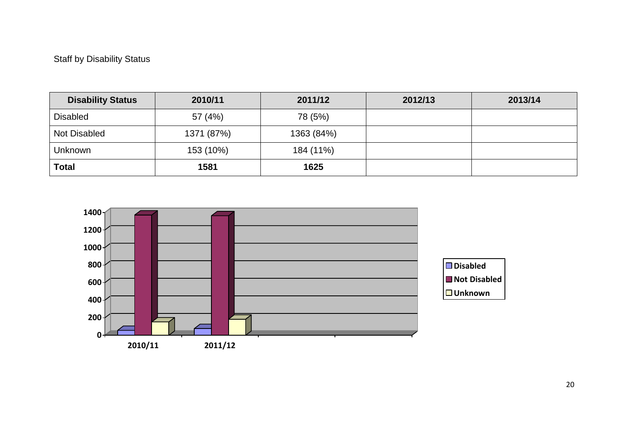## Staff by Disability Status

| <b>Disability Status</b> | 2010/11    | 2011/12    | 2012/13 | 2013/14 |
|--------------------------|------------|------------|---------|---------|
| <b>Disabled</b>          | 57 (4%)    | 78 (5%)    |         |         |
| <b>Not Disabled</b>      | 1371 (87%) | 1363 (84%) |         |         |
| <b>Unknown</b>           | 153 (10%)  | 184 (11%)  |         |         |
| <b>Total</b>             | 1581       | 1625       |         |         |

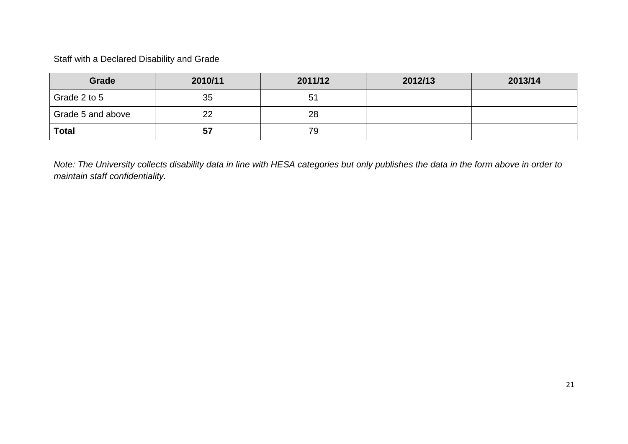Staff with a Declared Disability and Grade

| Grade             | 2010/11 | 2011/12 | 2012/13 | 2013/14 |
|-------------------|---------|---------|---------|---------|
| Grade 2 to 5      | 35      | 51      |         |         |
| Grade 5 and above | 22      | 28      |         |         |
| <b>Total</b>      | 57      | 79      |         |         |

*Note: The University collects disability data in line with HESA categories but only publishes the data in the form above in order to maintain staff confidentiality.*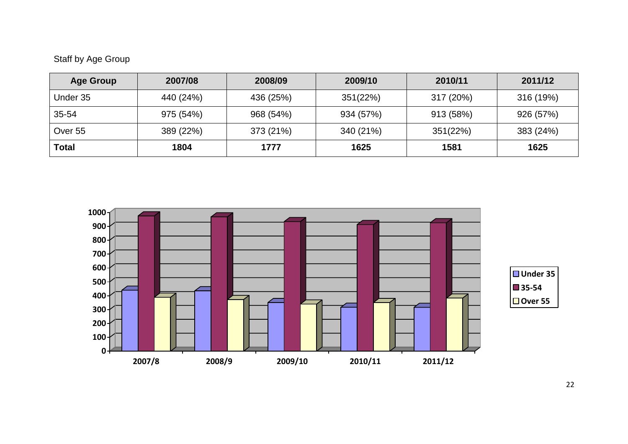# Staff by Age Group

| <b>Age Group</b> | 2007/08   | 2008/09   | 2009/10   | 2010/11   | 2011/12   |
|------------------|-----------|-----------|-----------|-----------|-----------|
| Under 35         | 440 (24%) | 436 (25%) | 351(22%)  | 317 (20%) | 316 (19%) |
| 35-54            | 975 (54%) | 968 (54%) | 934 (57%) | 913 (58%) | 926 (57%) |
| Over 55          | 389 (22%) | 373 (21%) | 340 (21%) | 351(22%)  | 383 (24%) |
| Total            | 1804      | 1777      | 1625      | 1581      | 1625      |

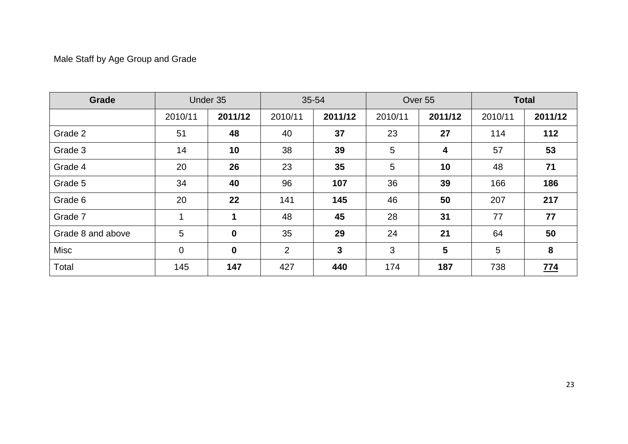# Male Staff by Age Group and Grade

| Grade             |             | Under 35    |         | 35-54   |         | Over 55        |         | <b>Total</b> |
|-------------------|-------------|-------------|---------|---------|---------|----------------|---------|--------------|
|                   | 2010/11     | 2011/12     | 2010/11 | 2011/12 | 2010/11 | 2011/12        | 2010/11 | 2011/12      |
| Grade 2           | 51          | 48          | 40      | 37      | 23      | 27             | 114     | 112          |
| Grade 3           | 14          | 10          | 38      | 39      | 5       | 4              | 57      | 53           |
| Grade 4           | 20          | 26          | 23      | 35      | 5       | 10             | 48      | 71           |
| Grade 5           | 34          | 40          | 96      | 107     | 36      | 39             | 166     | 186          |
| Grade 6           | 20          | 22          | 141     | 145     | 46      | 50             | 207     | 217          |
| Grade 7           | 1           | $\mathbf 1$ | 48      | 45      | 28      | 31             | 77      | 77           |
| Grade 8 and above | 5           | $\mathbf 0$ | 35      | 29      | 24      | 21             | 64      | 50           |
| Misc              | $\mathbf 0$ | $\mathbf 0$ | 2       | 3       | 3       | $5\phantom{.}$ | 5       | 8            |
| Total             | 145         | 147         | 427     | 440     | 174     | 187            | 738     | <u>774</u>   |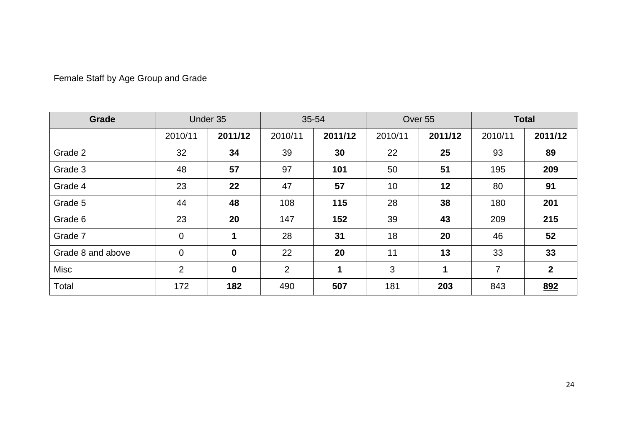| Grade             |                | Under 35         |                | 35-54   |         | Over 55 |                | <b>Total</b>   |
|-------------------|----------------|------------------|----------------|---------|---------|---------|----------------|----------------|
|                   | 2010/11        | 2011/12          | 2010/11        | 2011/12 | 2010/11 | 2011/12 | 2010/11        | 2011/12        |
| Grade 2           | 32             | 34               | 39             | 30      | 22      | 25      | 93             | 89             |
| Grade 3           | 48             | 57               | 97             | 101     | 50      | 51      | 195            | 209            |
| Grade 4           | 23             | 22               | 47             | 57      | 10      | 12      | 80             | 91             |
| Grade 5           | 44             | 48               | 108            | 115     | 28      | 38      | 180            | 201            |
| Grade 6           | 23             | 20               | 147            | 152     | 39      | 43      | 209            | 215            |
| Grade 7           | $\mathbf 0$    | 1                | 28             | 31      | 18      | 20      | 46             | 52             |
| Grade 8 and above | $\mathbf 0$    | $\boldsymbol{0}$ | 22             | 20      | 11      | 13      | 33             | 33             |
| <b>Misc</b>       | $\overline{2}$ | $\bf{0}$         | $\overline{2}$ | 1       | 3       | 1       | $\overline{7}$ | $\overline{2}$ |
| Total             | 172            | 182              | 490            | 507     | 181     | 203     | 843            | 892            |

# Female Staff by Age Group and Grade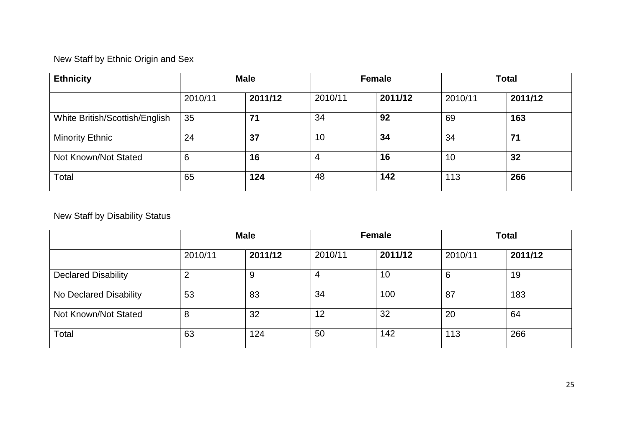# New Staff by Ethnic Origin and Sex

| <b>Ethnicity</b>               |         | <b>Male</b> |         | <b>Female</b> | <b>Total</b> |         |
|--------------------------------|---------|-------------|---------|---------------|--------------|---------|
|                                | 2010/11 | 2011/12     | 2010/11 | 2011/12       | 2010/11      | 2011/12 |
| White British/Scottish/English | 35      | 71          | 34      | 92            | 69           | 163     |
| <b>Minority Ethnic</b>         | 24      | 37          | 10      | 34            | 34           | 71      |
| Not Known/Not Stated           | 6       | 16          | 4       | 16            | 10           | 32      |
| Total                          | 65      | 124         | 48      | 142           | 113          | 266     |

## New Staff by Disability Status

|                            |         | <b>Male</b> |         | <b>Female</b> | <b>Total</b> |         |
|----------------------------|---------|-------------|---------|---------------|--------------|---------|
|                            | 2010/11 | 2011/12     | 2010/11 | 2011/12       | 2010/11      | 2011/12 |
| <b>Declared Disability</b> | ◠       | 9           | 4       | 10            | 6            | 19      |
| No Declared Disability     | 53      | 83          | 34      | 100           | 87           | 183     |
| Not Known/Not Stated       | 8       | 32          | 12      | 32            | 20           | 64      |
| Total                      | 63      | 124         | 50      | 142           | 113          | 266     |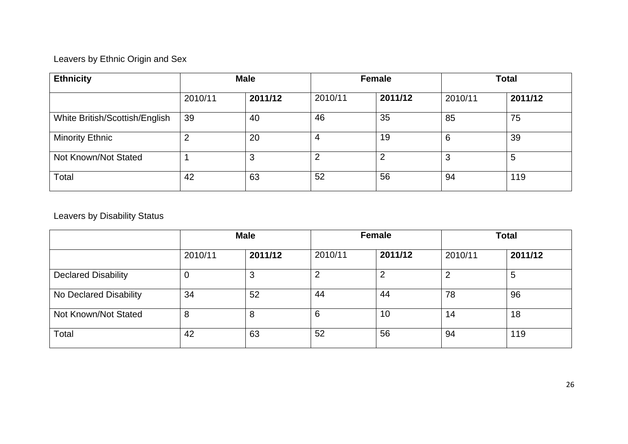# Leavers by Ethnic Origin and Sex

| <b>Ethnicity</b>               | <b>Male</b> |         |         | <b>Female</b> | <b>Total</b> |         |
|--------------------------------|-------------|---------|---------|---------------|--------------|---------|
|                                | 2010/11     | 2011/12 | 2010/11 | 2011/12       | 2010/11      | 2011/12 |
| White British/Scottish/English | 39          | 40      | 46      | 35            | 85           | 75      |
| <b>Minority Ethnic</b>         |             | 20      | 4       | 19            | 6            | 39      |
| Not Known/Not Stated           |             | 3       | 2       | っ             | 3            | 5       |
| Total                          | 42          | 63      | 52      | 56            | 94           | 119     |

## Leavers by Disability Status

|                            | <b>Male</b> |         |         | Female  | <b>Total</b> |         |
|----------------------------|-------------|---------|---------|---------|--------------|---------|
|                            | 2010/11     | 2011/12 | 2010/11 | 2011/12 | 2010/11      | 2011/12 |
| <b>Declared Disability</b> | υ           | ◠<br>J  | 2       | ົ       | 2            | 5       |
| No Declared Disability     | 34          | 52      | 44      | 44      | 78           | 96      |
| Not Known/Not Stated       | 8           | 8       | 6       | 10      | 14           | 18      |
| Total                      | 42          | 63      | 52      | 56      | 94           | 119     |